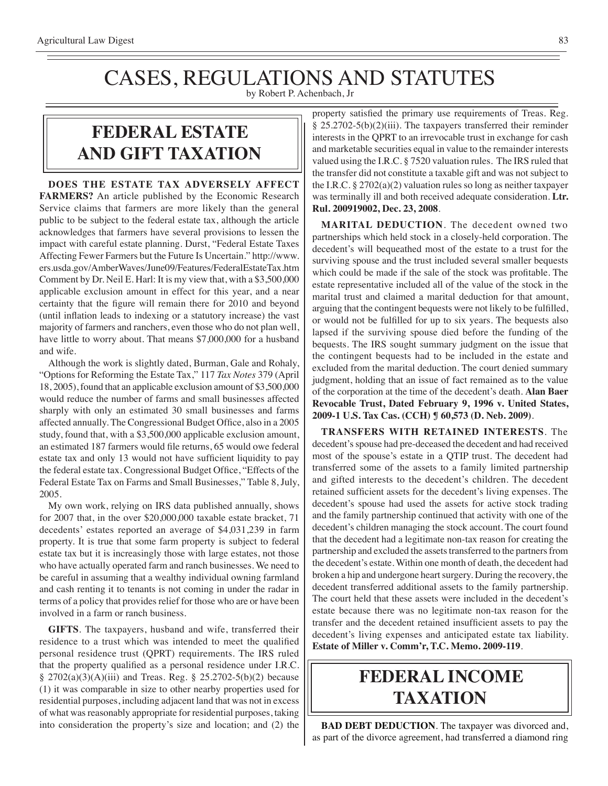# CASES, REGULATIONS AND STATUTES

by Robert P. Achenbach, Jr

### **federal ESTATE AND GIFT taxation**

**DOES THE ESTATE TAX ADVERSELY AFFECT FARMERS?** An article published by the Economic Research Service claims that farmers are more likely than the general public to be subject to the federal estate tax, although the article acknowledges that farmers have several provisions to lessen the impact with careful estate planning. Durst, "Federal Estate Taxes Affecting Fewer Farmers but the Future Is Uncertain." http://www. ers.usda.gov/AmberWaves/June09/Features/FederalEstateTax.htm Comment by Dr. Neil E. Harl: It is my view that, with a \$3,500,000 applicable exclusion amount in effect for this year, and a near certainty that the figure will remain there for 2010 and beyond (until inflation leads to indexing or a statutory increase) the vast majority of farmers and ranchers, even those who do not plan well, have little to worry about. That means \$7,000,000 for a husband and wife.

Although the work is slightly dated, Burman, Gale and Rohaly, "Options for Reforming the Estate Tax," 117 *Tax Notes* 379 (April 18, 2005), found that an applicable exclusion amount of \$3,500,000 would reduce the number of farms and small businesses affected sharply with only an estimated 30 small businesses and farms affected annually. The Congressional Budget Office, also in a 2005 study, found that, with a \$3,500,000 applicable exclusion amount, an estimated 187 farmers would file returns, 65 would owe federal estate tax and only 13 would not have sufficient liquidity to pay the federal estate tax. Congressional Budget Office, "Effects of the Federal Estate Tax on Farms and Small Businesses," Table 8, July, 2005.

My own work, relying on IRS data published annually, shows for 2007 that, in the over \$20,000,000 taxable estate bracket, 71 decedents' estates reported an average of \$4,031,239 in farm property. It is true that some farm property is subject to federal estate tax but it is increasingly those with large estates, not those who have actually operated farm and ranch businesses. We need to be careful in assuming that a wealthy individual owning farmland and cash renting it to tenants is not coming in under the radar in terms of a policy that provides relief for those who are or have been involved in a farm or ranch business.

**GIFTS**. The taxpayers, husband and wife, transferred their residence to a trust which was intended to meet the qualified personal residence trust (QPRT) requirements. The IRS ruled that the property qualified as a personal residence under I.R.C. § 2702(a)(3)(A)(iii) and Treas. Reg. § 25.2702-5(b)(2) because (1) it was comparable in size to other nearby properties used for residential purposes, including adjacent land that was not in excess of what was reasonably appropriate for residential purposes, taking into consideration the property's size and location; and (2) the property satisfied the primary use requirements of Treas. Reg. § 25.2702-5(b)(2)(iii). The taxpayers transferred their reminder interests in the QPRT to an irrevocable trust in exchange for cash and marketable securities equal in value to the remainder interests valued using the I.R.C. § 7520 valuation rules. The IRS ruled that the transfer did not constitute a taxable gift and was not subject to the I.R.C. § 2702(a)(2) valuation rules so long as neither taxpayer was terminally ill and both received adequate consideration. **Ltr. Rul. 200919002, Dec. 23, 2008**.

**MARITAL DEDUCTION**. The decedent owned two partnerships which held stock in a closely-held corporation. The decedent's will bequeathed most of the estate to a trust for the surviving spouse and the trust included several smaller bequests which could be made if the sale of the stock was profitable. The estate representative included all of the value of the stock in the marital trust and claimed a marital deduction for that amount, arguing that the contingent bequests were not likely to be fulfilled, or would not be fulfilled for up to six years. The bequests also lapsed if the surviving spouse died before the funding of the bequests. The IRS sought summary judgment on the issue that the contingent bequests had to be included in the estate and excluded from the marital deduction. The court denied summary judgment, holding that an issue of fact remained as to the value of the corporation at the time of the decedent's death. **Alan Baer Revocable Trust, Dated February 9, 1996 v. United States, 2009-1 U.S. Tax Cas. (CCH) ¶ 60,573 (D. Neb. 2009)**.

**TRANSFERS WITH RETAINED INTERESTS**. The decedent's spouse had pre-deceased the decedent and had received most of the spouse's estate in a QTIP trust. The decedent had transferred some of the assets to a family limited partnership and gifted interests to the decedent's children. The decedent retained sufficient assets for the decedent's living expenses. The decedent's spouse had used the assets for active stock trading and the family partnership continued that activity with one of the decedent's children managing the stock account. The court found that the decedent had a legitimate non-tax reason for creating the partnership and excluded the assets transferred to the partners from the decedent's estate. Within one month of death, the decedent had broken a hip and undergone heart surgery. During the recovery, the decedent transferred additional assets to the family partnership. The court held that these assets were included in the decedent's estate because there was no legitimate non-tax reason for the transfer and the decedent retained insufficient assets to pay the decedent's living expenses and anticipated estate tax liability. **Estate of Miller v. Comm'r, T.C. Memo. 2009-119**.

## **federal income taxation**

**BAD DEBT DEDUCTION**. The taxpayer was divorced and, as part of the divorce agreement, had transferred a diamond ring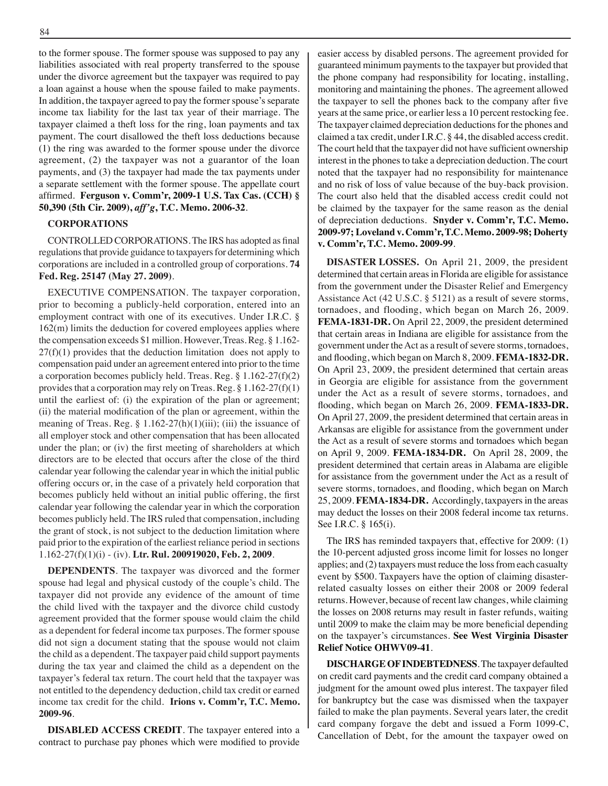to the former spouse. The former spouse was supposed to pay any liabilities associated with real property transferred to the spouse under the divorce agreement but the taxpayer was required to pay a loan against a house when the spouse failed to make payments. In addition, the taxpayer agreed to pay the former spouse's separate income tax liability for the last tax year of their marriage. The taxpayer claimed a theft loss for the ring, loan payments and tax payment. The court disallowed the theft loss deductions because (1) the ring was awarded to the former spouse under the divorce agreement, (2) the taxpayer was not a guarantor of the loan payments, and (3) the taxpayer had made the tax payments under a separate settlement with the former spouse. The appellate court affirmed. **Ferguson v. Comm'r, 2009-1 U.S. Tax Cas. (CCH) § 50,390 (5th Cir. 2009),** *aff'g***, T.C. Memo. 2006-32**.

#### **CORPORATIONS**

CONTROLLED CORPORATIONS. The IRS has adopted as final regulations that provide guidance to taxpayers for determining which corporations are included in a controlled group of corporations. **74 Fed. Reg. 25147 (May 27. 2009)**.

EXECUTIVE COMPENSATION. The taxpayer corporation, prior to becoming a publicly-held corporation, entered into an employment contract with one of its executives. Under I.R.C. § 162(m) limits the deduction for covered employees applies where the compensation exceeds \$1 million. However, Treas. Reg. § 1.162-  $27(f)(1)$  provides that the deduction limitation does not apply to compensation paid under an agreement entered into prior to the time a corporation becomes publicly held. Treas. Reg. § 1.162-27(f)(2) provides that a corporation may rely on Treas. Reg.  $\S 1.162-27(f)(1)$ until the earliest of: (i) the expiration of the plan or agreement; (ii) the material modification of the plan or agreement, within the meaning of Treas. Reg.  $\S 1.162-27(h)(1)(iii)$ ; (iii) the issuance of all employer stock and other compensation that has been allocated under the plan; or (iv) the first meeting of shareholders at which directors are to be elected that occurs after the close of the third calendar year following the calendar year in which the initial public offering occurs or, in the case of a privately held corporation that becomes publicly held without an initial public offering, the first calendar year following the calendar year in which the corporation becomes publicly held. The IRS ruled that compensation, including the grant of stock, is not subject to the deduction limitation where paid prior to the expiration of the earliest reliance period in sections 1.162-27(f)(1)(i) - (iv). **Ltr. Rul. 200919020, Feb. 2, 2009**.

**DEPENDENTS**. The taxpayer was divorced and the former spouse had legal and physical custody of the couple's child. The taxpayer did not provide any evidence of the amount of time the child lived with the taxpayer and the divorce child custody agreement provided that the former spouse would claim the child as a dependent for federal income tax purposes. The former spouse did not sign a document stating that the spouse would not claim the child as a dependent. The taxpayer paid child support payments during the tax year and claimed the child as a dependent on the taxpayer's federal tax return. The court held that the taxpayer was not entitled to the dependency deduction, child tax credit or earned income tax credit for the child. **Irions v. Comm'r, T.C. Memo. 2009-96**.

**DISABLED ACCESS CREDIT**. The taxpayer entered into a contract to purchase pay phones which were modified to provide

easier access by disabled persons. The agreement provided for guaranteed minimum payments to the taxpayer but provided that the phone company had responsibility for locating, installing, monitoring and maintaining the phones. The agreement allowed the taxpayer to sell the phones back to the company after five years at the same price, or earlier less a 10 percent restocking fee. The taxpayer claimed depreciation deductions for the phones and claimed a tax credit, under I.R.C. § 44, the disabled access credit. The court held that the taxpayer did not have sufficient ownership interest in the phones to take a depreciation deduction. The court noted that the taxpayer had no responsibility for maintenance and no risk of loss of value because of the buy-back provision. The court also held that the disabled access credit could not be claimed by the taxpayer for the same reason as the denial of depreciation deductions. **Snyder v. Comm'r, T.C. Memo. 2009-97; Loveland v. Comm'r, T.C. Memo. 2009-98; Doherty v. Comm'r, T.C. Memo. 2009-99**.

**DISASTER LOSSES.** On April 21, 2009, the president determined that certain areas in Florida are eligible for assistance from the government under the Disaster Relief and Emergency Assistance Act (42 U.S.C. § 5121) as a result of severe storms, tornadoes, and flooding, which began on March 26, 2009. **FEMA-1831-DR.** On April 22, 2009, the president determined that certain areas in Indiana are eligible for assistance from the government under the Act as a result of severe storms, tornadoes, and flooding, which began on March 8, 2009. **FEMA-1832-DR.**  On April 23, 2009, the president determined that certain areas in Georgia are eligible for assistance from the government under the Act as a result of severe storms, tornadoes, and flooding, which began on March 26, 2009. **FEMA-1833-DR.**  On April 27, 2009, the president determined that certain areas in Arkansas are eligible for assistance from the government under the Act as a result of severe storms and tornadoes which began on April 9, 2009. **FEMA-1834-DR.** On April 28, 2009, the president determined that certain areas in Alabama are eligible for assistance from the government under the Act as a result of severe storms, tornadoes, and flooding, which began on March 25, 2009. **FEMA-1834-DR.** Accordingly, taxpayers in the areas may deduct the losses on their 2008 federal income tax returns. See I.R.C. § 165(i).

The IRS has reminded taxpayers that, effective for 2009: (1) the 10-percent adjusted gross income limit for losses no longer applies; and (2) taxpayers must reduce the loss from each casualty event by \$500. Taxpayers have the option of claiming disasterrelated casualty losses on either their 2008 or 2009 federal returns. However, because of recent law changes, while claiming the losses on 2008 returns may result in faster refunds, waiting until 2009 to make the claim may be more beneficial depending on the taxpayer's circumstances. **See West Virginia Disaster Relief Notice OHWV09-41**.

**DISCHARGE OF INDEBTEDNESS**. The taxpayer defaulted on credit card payments and the credit card company obtained a judgment for the amount owed plus interest. The taxpayer filed for bankruptcy but the case was dismissed when the taxpayer failed to make the plan payments. Several years later, the credit card company forgave the debt and issued a Form 1099-C, Cancellation of Debt, for the amount the taxpayer owed on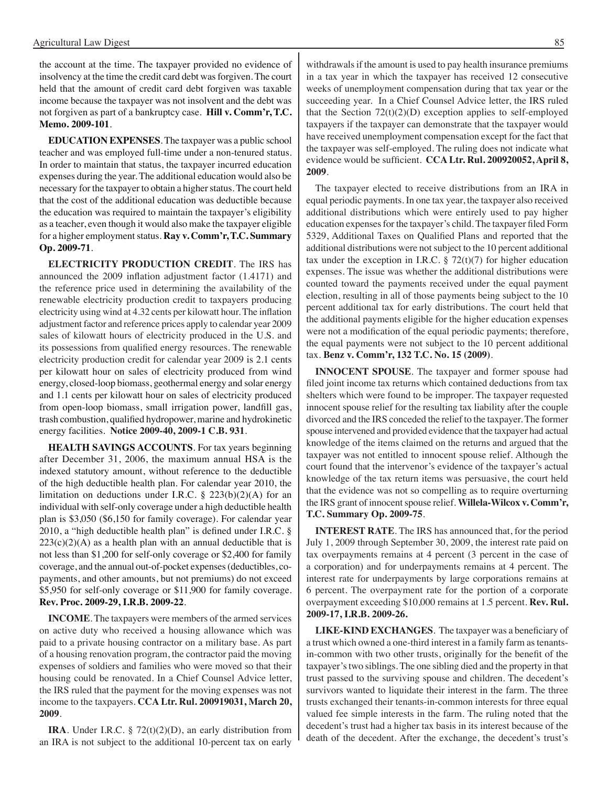the account at the time. The taxpayer provided no evidence of insolvency at the time the credit card debt was forgiven. The court held that the amount of credit card debt forgiven was taxable income because the taxpayer was not insolvent and the debt was not forgiven as part of a bankruptcy case. **Hill v. Comm'r, T.C. Memo. 2009-101**.

**EDUCATION EXPENSES**. The taxpayer was a public school teacher and was employed full-time under a non-tenured status. In order to maintain that status, the taxpayer incurred education expenses during the year. The additional education would also be necessary for the taxpayer to obtain a higher status. The court held that the cost of the additional education was deductible because the education was required to maintain the taxpayer's eligibility as a teacher, even though it would also make the taxpayer eligible for a higher employment status. **Ray v. Comm'r, T.C. Summary Op. 2009-71**.

**ELECTRICITY PRODUCTION CREDIT**. The IRS has announced the 2009 inflation adjustment factor (1.4171) and the reference price used in determining the availability of the renewable electricity production credit to taxpayers producing electricity using wind at 4.32 cents per kilowatt hour. The inflation adjustment factor and reference prices apply to calendar year 2009 sales of kilowatt hours of electricity produced in the U.S. and its possessions from qualified energy resources. The renewable electricity production credit for calendar year 2009 is 2.1 cents per kilowatt hour on sales of electricity produced from wind energy, closed-loop biomass, geothermal energy and solar energy and 1.1 cents per kilowatt hour on sales of electricity produced from open-loop biomass, small irrigation power, landfill gas, trash combustion, qualified hydropower, marine and hydrokinetic energy facilities. **Notice 2009-40, 2009-1 C.B. 931**.

**HEALTH SAVINGS ACCOUNTS**. For tax years beginning after December 31, 2006, the maximum annual HSA is the indexed statutory amount, without reference to the deductible of the high deductible health plan. For calendar year 2010, the limitation on deductions under I.R.C.  $\S$  223(b)(2)(A) for an individual with self-only coverage under a high deductible health plan is \$3,050 (\$6,150 for family coverage). For calendar year 2010, a "high deductible health plan" is defined under I.R.C. §  $223(c)(2)(A)$  as a health plan with an annual deductible that is not less than \$1,200 for self-only coverage or \$2,400 for family coverage, and the annual out-of-pocket expenses (deductibles, copayments, and other amounts, but not premiums) do not exceed \$5,950 for self-only coverage or \$11,900 for family coverage. **Rev. Proc. 2009-29, I.R.B. 2009-22**.

**INCOME**. The taxpayers were members of the armed services on active duty who received a housing allowance which was paid to a private housing contractor on a military base. As part of a housing renovation program, the contractor paid the moving expenses of soldiers and families who were moved so that their housing could be renovated. In a Chief Counsel Advice letter, the IRS ruled that the payment for the moving expenses was not income to the taxpayers. **CCA Ltr. Rul. 200919031, March 20, 2009**.

**IRA**. Under I.R.C. § 72(t)(2)(D), an early distribution from an IRA is not subject to the additional 10-percent tax on early withdrawals if the amount is used to pay health insurance premiums in a tax year in which the taxpayer has received 12 consecutive weeks of unemployment compensation during that tax year or the succeeding year. In a Chief Counsel Advice letter, the IRS ruled that the Section  $72(t)(2)(D)$  exception applies to self-employed taxpayers if the taxpayer can demonstrate that the taxpayer would have received unemployment compensation except for the fact that the taxpayer was self-employed. The ruling does not indicate what evidence would be sufficient. **CCA Ltr. Rul. 200920052, April 8, 2009**.

The taxpayer elected to receive distributions from an IRA in equal periodic payments. In one tax year, the taxpayer also received additional distributions which were entirely used to pay higher education expenses for the taxpayer's child. The taxpayer filed Form 5329, Additional Taxes on Qualified Plans and reported that the additional distributions were not subject to the 10 percent additional tax under the exception in I.R.C.  $\S$  72(t)(7) for higher education expenses. The issue was whether the additional distributions were counted toward the payments received under the equal payment election, resulting in all of those payments being subject to the 10 percent additional tax for early distributions. The court held that the additional payments eligible for the higher education expenses were not a modification of the equal periodic payments; therefore, the equal payments were not subject to the 10 percent additional tax. **Benz v. Comm'r, 132 T.C. No. 15 (2009)**.

**INNOCENT SPOUSE**. The taxpayer and former spouse had filed joint income tax returns which contained deductions from tax shelters which were found to be improper. The taxpayer requested innocent spouse relief for the resulting tax liability after the couple divorced and the IRS conceded the relief to the taxpayer. The former spouse intervened and provided evidence that the taxpayer had actual knowledge of the items claimed on the returns and argued that the taxpayer was not entitled to innocent spouse relief. Although the court found that the intervenor's evidence of the taxpayer's actual knowledge of the tax return items was persuasive, the court held that the evidence was not so compelling as to require overturning the IRS grant of innocent spouse relief. **Willela-Wilcox v. Comm'r, T.C. Summary Op. 2009-75**.

**INTEREST RATE**. The IRS has announced that, for the period July 1, 2009 through September 30, 2009, the interest rate paid on tax overpayments remains at 4 percent (3 percent in the case of a corporation) and for underpayments remains at 4 percent. The interest rate for underpayments by large corporations remains at 6 percent. The overpayment rate for the portion of a corporate overpayment exceeding \$10,000 remains at 1.5 percent. **Rev. Rul. 2009-17, I.R.B. 2009-26.**

**LIKE-KIND EXCHANGES**. The taxpayer was a beneficiary of a trust which owned a one-third interest in a family farm as tenantsin-common with two other trusts, originally for the benefit of the taxpayer's two siblings. The one sibling died and the property in that trust passed to the surviving spouse and children. The decedent's survivors wanted to liquidate their interest in the farm. The three trusts exchanged their tenants-in-common interests for three equal valued fee simple interests in the farm. The ruling noted that the decedent's trust had a higher tax basis in its interest because of the death of the decedent. After the exchange, the decedent's trust's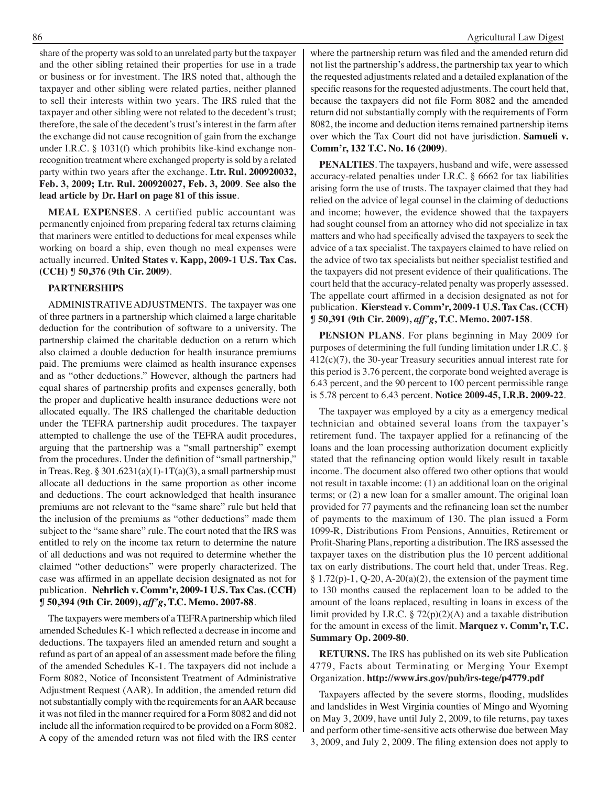share of the property was sold to an unrelated party but the taxpayer and the other sibling retained their properties for use in a trade or business or for investment. The IRS noted that, although the taxpayer and other sibling were related parties, neither planned to sell their interests within two years. The IRS ruled that the taxpayer and other sibling were not related to the decedent's trust; therefore, the sale of the decedent's trust's interest in the farm after the exchange did not cause recognition of gain from the exchange under I.R.C. § 1031(f) which prohibits like-kind exchange nonrecognition treatment where exchanged property is sold by a related party within two years after the exchange. **Ltr. Rul. 200920032, Feb. 3, 2009; Ltr. Rul. 200920027, Feb. 3, 2009**. **See also the lead article by Dr. Harl on page 81 of this issue**.

**MEAL EXPENSES**. A certified public accountant was permanently enjoined from preparing federal tax returns claiming that mariners were entitled to deductions for meal expenses while working on board a ship, even though no meal expenses were actually incurred. **United States v. Kapp, 2009-1 U.S. Tax Cas. (CCH) ¶ 50,376 (9th Cir. 2009)**.

#### **PARTNERSHIPS**

ADMINISTRATIVE ADJUSTMENTS. The taxpayer was one of three partners in a partnership which claimed a large charitable deduction for the contribution of software to a university. The partnership claimed the charitable deduction on a return which also claimed a double deduction for health insurance premiums paid. The premiums were claimed as health insurance expenses and as "other deductions." However, although the partners had equal shares of partnership profits and expenses generally, both the proper and duplicative health insurance deductions were not allocated equally. The IRS challenged the charitable deduction under the TEFRA partnership audit procedures. The taxpayer attempted to challenge the use of the TEFRA audit procedures, arguing that the partnership was a "small partnership" exempt from the procedures. Under the definition of "small partnership," in Treas. Reg.  $\S 301.6231(a)(1)-1T(a)(3)$ , a small partnership must allocate all deductions in the same proportion as other income and deductions. The court acknowledged that health insurance premiums are not relevant to the "same share" rule but held that the inclusion of the premiums as "other deductions" made them subject to the "same share" rule. The court noted that the IRS was entitled to rely on the income tax return to determine the nature of all deductions and was not required to determine whether the claimed "other deductions" were properly characterized. The case was affirmed in an appellate decision designated as not for publication. **Nehrlich v. Comm'r, 2009-1 U.S. Tax Cas. (CCH) ¶ 50,394 (9th Cir. 2009),** *aff'g***, T.C. Memo. 2007-88**.

The taxpayers were members of a TEFRA partnership which filed amended Schedules K-1 which reflected a decrease in income and deductions. The taxpayers filed an amended return and sought a refund as part of an appeal of an assessment made before the filing of the amended Schedules K-1. The taxpayers did not include a Form 8082, Notice of Inconsistent Treatment of Administrative Adjustment Request (AAR). In addition, the amended return did not substantially comply with the requirements for an AAR because it was not filed in the manner required for a Form 8082 and did not include all the information required to be provided on a Form 8082. A copy of the amended return was not filed with the IRS center

where the partnership return was filed and the amended return did not list the partnership's address, the partnership tax year to which the requested adjustments related and a detailed explanation of the specific reasons for the requested adjustments. The court held that, because the taxpayers did not file Form 8082 and the amended return did not substantially comply with the requirements of Form 8082, the income and deduction items remained partnership items over which the Tax Court did not have jurisdiction. **Samueli v. Comm'r, 132 T.C. No. 16 (2009)**.

**PENALTIES**. The taxpayers, husband and wife, were assessed accuracy-related penalties under I.R.C. § 6662 for tax liabilities arising form the use of trusts. The taxpayer claimed that they had relied on the advice of legal counsel in the claiming of deductions and income; however, the evidence showed that the taxpayers had sought counsel from an attorney who did not specialize in tax matters and who had specifically advised the taxpayers to seek the advice of a tax specialist. The taxpayers claimed to have relied on the advice of two tax specialists but neither specialist testified and the taxpayers did not present evidence of their qualifications. The court held that the accuracy-related penalty was properly assessed. The appellate court affirmed in a decision designated as not for publication. **Kierstead v. Comm'r, 2009-1 U.S. Tax Cas. (CCH) ¶ 50,391 (9th Cir. 2009),** *aff'g***, T.C. Memo. 2007-158**.

**PENSION PLANS**. For plans beginning in May 2009 for purposes of determining the full funding limitation under I.R.C. § 412(c)(7), the 30-year Treasury securities annual interest rate for this period is 3.76 percent, the corporate bond weighted average is 6.43 percent, and the 90 percent to 100 percent permissible range is 5.78 percent to 6.43 percent. **Notice 2009-45, I.R.B. 2009-22**.

The taxpayer was employed by a city as a emergency medical technician and obtained several loans from the taxpayer's retirement fund. The taxpayer applied for a refinancing of the loans and the loan processing authorization document explicitly stated that the refinancing option would likely result in taxable income. The document also offered two other options that would not result in taxable income: (1) an additional loan on the original terms; or (2) a new loan for a smaller amount. The original loan provided for 77 payments and the refinancing loan set the number of payments to the maximum of 130. The plan issued a Form 1099-R, Distributions From Pensions, Annuities, Retirement or Profit-Sharing Plans, reporting a distribution. The IRS assessed the taxpayer taxes on the distribution plus the 10 percent additional tax on early distributions. The court held that, under Treas. Reg.  $§ 1.72(p)-1, Q-20, A-20(a)(2),$  the extension of the payment time to 130 months caused the replacement loan to be added to the amount of the loans replaced, resulting in loans in excess of the limit provided by I.R.C. § 72(p)(2)(A) and a taxable distribution for the amount in excess of the limit. **Marquez v. Comm'r, T.C. Summary Op. 2009-80**.

**RETURNS.** The IRS has published on its web site Publication 4779, Facts about Terminating or Merging Your Exempt Organization. **http://www.irs.gov/pub/irs-tege/p4779.pdf**

Taxpayers affected by the severe storms, flooding, mudslides and landslides in West Virginia counties of Mingo and Wyoming on May 3, 2009, have until July 2, 2009, to file returns, pay taxes and perform other time-sensitive acts otherwise due between May 3, 2009, and July 2, 2009. The filing extension does not apply to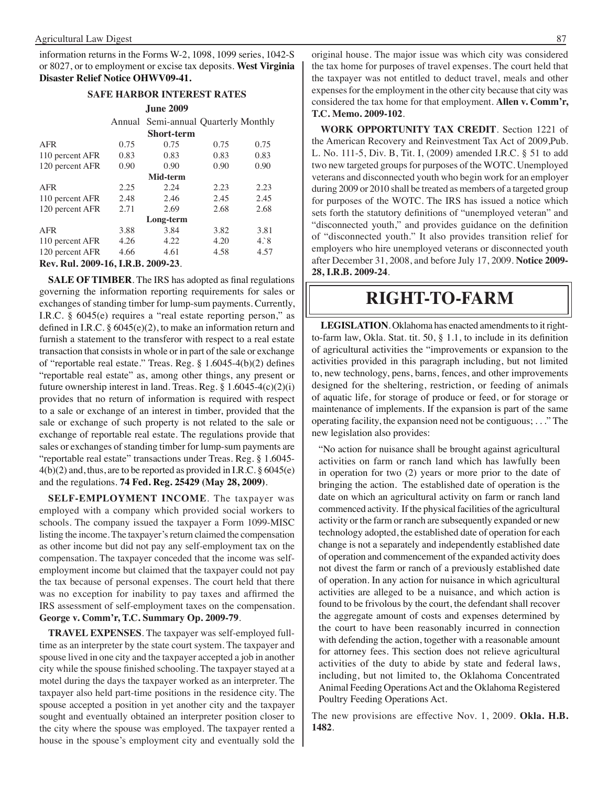information returns in the Forms W-2, 1098, 1099 series, 1042-S or 8027, or to employment or excise tax deposits. **West Virginia Disaster Relief Notice OHWV09-41.**

#### **Safe Harbor interest rates**

|                                    |      | <b>June 2009</b>                     |      |      |
|------------------------------------|------|--------------------------------------|------|------|
|                                    |      | Annual Semi-annual Quarterly Monthly |      |      |
| <b>Short-term</b>                  |      |                                      |      |      |
| AFR                                | 0.75 | 0.75                                 | 0.75 | 0.75 |
| 110 percent AFR                    | 0.83 | 0.83                                 | 0.83 | 0.83 |
| 120 percent AFR                    | 0.90 | 0.90                                 | 0.90 | 0.90 |
|                                    |      | Mid-term                             |      |      |
| AFR                                | 2.25 | 2.24                                 | 2.23 | 2.23 |
| 110 percent AFR                    | 2.48 | 2.46                                 | 2.45 | 2.45 |
| 120 percent AFR                    | 2.71 | 2.69                                 | 2.68 | 2.68 |
| Long-term                          |      |                                      |      |      |
| AFR                                | 3.88 | 3.84                                 | 3.82 | 3.81 |
| 110 percent AFR                    | 4.26 | 4.22                                 | 4.20 | 4.8  |
| 120 percent AFR                    | 4.66 | 4.61                                 | 4.58 | 4.57 |
| Rev. Rul. 2009-16, I.R.B. 2009-23. |      |                                      |      |      |

**SALE OF TIMBER**. The IRS has adopted as final regulations governing the information reporting requirements for sales or exchanges of standing timber for lump-sum payments. Currently, I.R.C. § 6045(e) requires a "real estate reporting person," as defined in I.R.C. § 6045(e)(2), to make an information return and furnish a statement to the transferor with respect to a real estate transaction that consists in whole or in part of the sale or exchange of "reportable real estate." Treas. Reg. § 1.6045-4(b)(2) defines "reportable real estate" as, among other things, any present or future ownership interest in land. Treas. Reg. § 1.6045-4(c)(2)(i) provides that no return of information is required with respect to a sale or exchange of an interest in timber, provided that the sale or exchange of such property is not related to the sale or exchange of reportable real estate. The regulations provide that sales or exchanges of standing timber for lump-sum payments are "reportable real estate" transactions under Treas. Reg. § 1.6045-  $4(b)(2)$  and, thus, are to be reported as provided in I.R.C. § 6045(e) and the regulations. **74 Fed. Reg. 25429 (May 28, 2009)**.

**SELF-EMPLOYMENT INCOME**. The taxpayer was employed with a company which provided social workers to schools. The company issued the taxpayer a Form 1099-MISC listing the income. The taxpayer's return claimed the compensation as other income but did not pay any self-employment tax on the compensation. The taxpayer conceded that the income was selfemployment income but claimed that the taxpayer could not pay the tax because of personal expenses. The court held that there was no exception for inability to pay taxes and affirmed the IRS assessment of self-employment taxes on the compensation. **George v. Comm'r, T.C. Summary Op. 2009-79**.

**TRAVEL EXPENSES**. The taxpayer was self-employed fulltime as an interpreter by the state court system. The taxpayer and spouse lived in one city and the taxpayer accepted a job in another city while the spouse finished schooling. The taxpayer stayed at a motel during the days the taxpayer worked as an interpreter. The taxpayer also held part-time positions in the residence city. The spouse accepted a position in yet another city and the taxpayer sought and eventually obtained an interpreter position closer to the city where the spouse was employed. The taxpayer rented a house in the spouse's employment city and eventually sold the

original house. The major issue was which city was considered the tax home for purposes of travel expenses. The court held that the taxpayer was not entitled to deduct travel, meals and other expenses for the employment in the other city because that city was considered the tax home for that employment. **Allen v. Comm'r, T.C. Memo. 2009-102**.

**WORK OPPORTUNITY TAX CREDIT**. Section 1221 of the American Recovery and Reinvestment Tax Act of 2009,Pub. L. No. 111-5, Div. B, Tit. I, (2009) amended I.R.C. § 51 to add two new targeted groups for purposes of the WOTC. Unemployed veterans and disconnected youth who begin work for an employer during 2009 or 2010 shall be treated as members of a targeted group for purposes of the WOTC. The IRS has issued a notice which sets forth the statutory definitions of "unemployed veteran" and "disconnected youth," and provides guidance on the definition of "disconnected youth." It also provides transition relief for employers who hire unemployed veterans or disconnected youth after December 31, 2008, and before July 17, 2009. **Notice 2009- 28, I.R.B. 2009-24**.

### **right-to-farm**

**LEGISLATION**. Oklahoma has enacted amendments to it rightto-farm law, Okla. Stat. tit. 50, § 1.1, to include in its definition of agricultural activities the "improvements or expansion to the activities provided in this paragraph including, but not limited to, new technology, pens, barns, fences, and other improvements designed for the sheltering, restriction, or feeding of animals of aquatic life, for storage of produce or feed, or for storage or maintenance of implements. If the expansion is part of the same operating facility, the expansion need not be contiguous; . . ." The new legislation also provides:

"No action for nuisance shall be brought against agricultural activities on farm or ranch land which has lawfully been in operation for two (2) years or more prior to the date of bringing the action. The established date of operation is the date on which an agricultural activity on farm or ranch land commenced activity. If the physical facilities of the agricultural activity or the farm or ranch are subsequently expanded or new technology adopted, the established date of operation for each change is not a separately and independently established date of operation and commencement of the expanded activity does not divest the farm or ranch of a previously established date of operation. In any action for nuisance in which agricultural activities are alleged to be a nuisance, and which action is found to be frivolous by the court, the defendant shall recover the aggregate amount of costs and expenses determined by the court to have been reasonably incurred in connection with defending the action, together with a reasonable amount for attorney fees. This section does not relieve agricultural activities of the duty to abide by state and federal laws, including, but not limited to, the Oklahoma Concentrated Animal Feeding Operations Act and the Oklahoma Registered Poultry Feeding Operations Act.

The new provisions are effective Nov. 1, 2009. **Okla. H.B. 1482**.